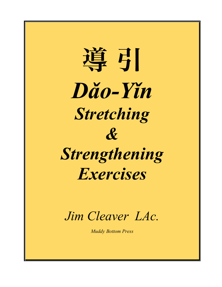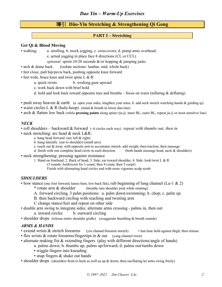# 導引 **Dǎo-Yǐn Stretching & Strengthening Qi Gong**

## **PART I – Stretching**

### **Get Qi & Blood Moving**

- walking: a. strolling, b. mock jogging, c. cross-overs; d. pump arms overhead;
	- e. actual jogging in place face 8 directions (CL or CCL)
	- *optional:* sprint 10-20 seconds &/or hopping & jumping jacks
- arch & dome back (isolate sections: lumbar, mid, whole back)
- feet close, pull hip/pevis back, pushing opposite knee forward
- feet wide, brace knee and twist spine L & R:
	- a. quick twists b. working gaze upward
	- c. work back down with brief hold
	- d. hold and look back toward opposite toes and breathe focus on waist (inflating  $\&$  deflating)
- push away heaven  $\&$  earth (a. open your sides, lengthen your arms, b. add neck stretch watching hands  $\&$  guiding qi)
- waist circles L & R (hulu hoop) (mind & breath in lower dan-tian)
- arch & flatten low back (while **pressing points** along spine=jia-ji; inner BL; outer BL, repeat jia ji or most sensitive line)

### *NECK*

• roll shoulders – backward & forward (~6 circles each way) *repeat with thumbs out, then in*

- neck stretching: arc head & neck L&R:
	- a. hang head forward (arc left & right)
	- b. hang laterally (ear to shoulder) (small arcs)
	- c. reach out  $\&$  away with opposite arm to accentuate stretch add weight, then traction, then massage
	- d. finish with one complete head circle in each direction (both hands massage head, neck & shoulders)
- neck strengthening: pressing against resistance
	- 1. Hand on forehead, 2. Back of head, 3. Side: ear toward shoulder, 4. Side: look/twist L & R
		- (3 rounds: hold/resist for 3 count; then 4 count, then 5 count)
			- Finish with alternating head circles and with more vigorous scalp scrub

### *SHOULDERS*

- bow stance (one foot forward, knees bent, low back flat), rub beginning of lung channel (Lu-1 & 2)
	- \* rotate arm & shoulder (breathe into shoulder joint while rotating)
	- A. forward circling, 3 palm positions: a. palm down/swimming; b. chop; c. palm up
	- B. then backward circling with reaching and twisting arm
	- C change stance/feet and repeat on other side
- double arm swing to integrate sides: alternate arms crossing palms in, then out
	- a. inward circles b. outward circling
- shoulder drops (release entire shoulder girdle) (exaggerate breathing & breath sounds)

## *ARMS & HANDS*

- extend wrists & stretch forearms (yin channel/forearm stretch) last time hold against thigh, then release
- flex wrists  $&$  rotate forearms/fingertips in  $&$  out (yang channel twist)
- alternate making fist & extending fingers (play with different directions/angle of hands)
	- a. palms down; b. thumbs up; palms up/forward; d. palms out/tumbs down
	- wiggle fingers into kneading
	- snap fingers & shake out hands
- shoulder drops (shoulders front to back as well as up & down; then oscillating let arms swing freely)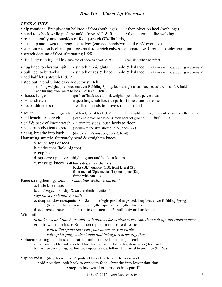## *LEGS & HIPS*

- hip rotations: first pivot on ball/toe of foot (both legs) then pivot on heel (both legs)
- bend toes back while pushing ankle forward L  $\&$  R then alternate like walking
- rotate laterally onto outsides of foot (stretch GB/fibularis)
	- heels up and down to strengthen calves (can add hands/wrists like EV exercise)
	- step out rest on heel and pull toes back to stretch calves alternate L&R, rotate to sides variation
	- stretch dorsum of foot, alternating L&R
	- finish by rotating ankles (use toe of shoe as pivot point) (can skip when barefoot)
	- hug knee to chest/armpit stretch hip  $\&$  gluts hold  $\&$  balance (3x to each side, adding movement)
	- pull heel to buttocks stretch quads  $\&$  knee hold  $\&$  balance (3x to each side, adding movement)
	- add half lotus stretch L & R
	- step out laterally into easy adductor stretch
		- shifting weight, push knee out over Bubbling Spring, look straight ahead, keep eyes level shift & hold - add turning from waist to look L & R (full  $180^\circ$ )
	- iliacus lunge (push off back toes to rock weight, open whole pelvic area)
	- psoas stretch (repeat lunge, stabilize, then push off knee to arch torso back)
	- deep adductor stretch: walk on hands to move stretch around
	- squat a. lace fingers behind head, round back (GV) b. straighten spine, push out on knees with elbows
	- ankle/achilles stretch (lean chest over one knee & rock heel off ground) both sides
	- calf & back of knee stretch alternate sides, push heels to floor
	- back of body (tent) stretch (sacrum to the sky, stretch spine, open GV)
	- hang, breathe into back (dangle arms/shoulders, neck & head)

Hamstring stretch: alternately bend  $&$  straighten knees

- a. touch tops of toes
- b. under toes (hold big toe)
- c. cup heels
- d. squeeze up calves, thighs, gluts and back to knees
- e. massage knees: (all four sides, all six channels)

backs (BL); outside (GB); front lateral (ST); front medial (Sp); medial (Lr), complete (Kd) finish with patellas

Knee strengthening: *stance is shoulder width & parallel*

- a. little knee dips
- b. *feet together* dip & circle (both directions)
- *step back to shoulder width*
- c. deep sit downs/squats 10-12x (thighs parallel to ground, keep knees over Bubbling Spring) (let it burn before you quit, strengthen quads to strengthen knees)
- d. add resistance: 1. push in on knees 2. pull outward on knees

### Windmills:

*bend knees and touch ground with elbows (or as close as you can) then roll up and release arms* go into waist circles  $6-8x$  – then repeat in opposite direction

*watch the space between your hands as you circle*

*roll up keeping wide stance and bring forearms together*

• phoenix eating its ashes: quadratus-lumborum & hamstring stretch

a. slide one foot behind other heel line, hands reach to lateral leg above ankle) hold and breathe

b. massage back of leg, tap low back opposite side, follow BL channel to small toe (BL-67)

• spine twist (deep horse, brace  $\&$  push off knees L  $\&$  R, stretch eyes  $\&$  neck too)

+ hold position look back to opposite foot – breathe into lower dan-tian

• step up into wu-ji or carry on into part II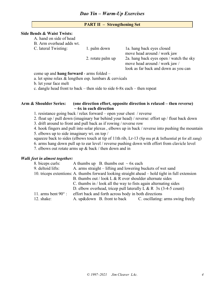## **PART II – Strengthening Set**

### **Side Bends & Waist Twists:**

A. hand on side of head

B. Arm overhead adds wt.

C. lateral Twisting: 1. palm down 1a. hang back eyes closed move head around / work jaw 2. rotate palm up 2a. hang back eyes open / watch the sky move head around / work jaw / look as far back and down as you can

come up and **hang forward** - arms folded –

a. let spine relax & lengthen esp. lumbars & cervicals

b. let your face melt

c. dangle head front to back – then side to side 6-8x each – then repeat

### **Arm & Shoulder Series: (one direction effort, opposite direction is relaxed – then reverse) ~ 6x in each direction**

- 1. resistance going back / relax forward open your chest / reverse
- 2. float up / pull down (imaginary bar behind your head) / reverse: effort up / float back down
- 3. drift around to front and pull back as if rowing / reverse row

4. hook fingers and pull into solar plexus , elbows up in back / reverse into pushing the mountain

5. elbows up to side imaginary wt. on top /

squeeze back to sides (elbows touch at tip of 11th rib, Lr-13 (Sp mu pt & Influential pt for all zang)

6. arms hang down pull up to ear level / reverse pushing down with effort from clavicle level

7. elbows out rotate arms up & back / then down and in

### *Walk feet in almost together:*

| 8. biceps curls:           | A thumbs up B. thumbs out $\sim$ 6x each                                                        |  |  |  |  |
|----------------------------|-------------------------------------------------------------------------------------------------|--|--|--|--|
| 9. deltoid lifts:          | A. arms straight – lifting and lowering buckets of wet sand                                     |  |  |  |  |
|                            | 10. triceps extentions: A. thumbs forward looking straight ahead – hold tight in full extension |  |  |  |  |
|                            | B. thumbs out / look L $\&$ R over shoulder alternate sides                                     |  |  |  |  |
|                            | C. thumbs in / look all the way to fists again alternating sides                                |  |  |  |  |
|                            | D. elbow overhead, tricep pull laterally L & R $3x(3-4-5$ count)                                |  |  |  |  |
| 11. arms bent $90^\circ$ : | effort back and forth across body in both directions                                            |  |  |  |  |
| 12. shake:                 | A. up&down B. front to back C. oscillating: arms swing freely                                   |  |  |  |  |
|                            |                                                                                                 |  |  |  |  |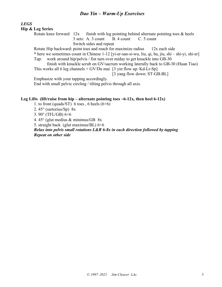# *LEGS*

## **Hip & Leg Series**

|                         |  |                                          | Rotate knee forward $12x$ finish with leg pointing behind alternate pointing toes & heels |  |  |
|-------------------------|--|------------------------------------------|-------------------------------------------------------------------------------------------|--|--|
|                         |  | 3 sets: A. 3 count B. 4 count C. 5 count |                                                                                           |  |  |
| Switch sides and repeat |  |                                          |                                                                                           |  |  |

Rotate Hip backward: point toes and reach for maximize radius 12x each side

\* here we sometimes count in Chinese 1-12 [yi-er-san-si-wu, liu, qi, ba, jiu, shi – shi-yi, shi-er] Tap: work around hip/pelvis / fist turn over miday to get knuckle into GB-30

finish with knuckle scrub on GV/sacrum working laterally back to GB-30 (Huan Tiao) This works all 6 leg channels  $+$  GV/Du mai [3 yin flow up: Kd-Lr-Sp]

[3 yang flow down: ST-GB-BL]

Emphasize with your tapping accordingly.

End with small pelvic circling / tilting pelvis through all axis.

## Leg Lifts (lift/raise from hip – alternate pointing toes  $\sim$  6-12x, then heel 6-12x)

- 1. to front (quads/ST) 6 toes, 6 heels  $(6+6)$
- 2. 45° (sartorius/Sp) 8x

3. 90° (TFL/GB) 6+6

4. 45° (glut medius & minimus/GB 8x

5. straight back (glut maximus/BL) 6+6

*Relax into pelvis small rotations L&R 6-8x in each direction followed by tapping Repeat on other side*